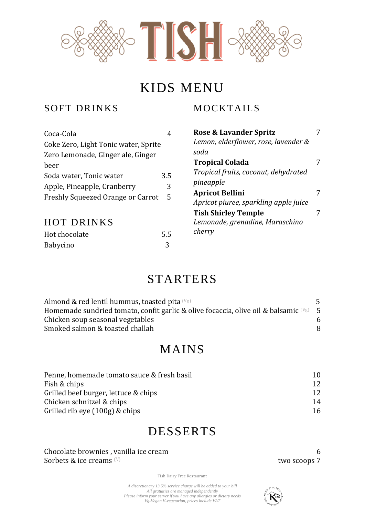

# KIDS MENU

#### SOFT DRINKS

# MOCKTAILS **Rose & Lavander Spritz** 7

| Coca-Cola                            | 4   | <b>Rose &amp; Lavander Spritz</b>                               |   |
|--------------------------------------|-----|-----------------------------------------------------------------|---|
| Coke Zero, Light Tonic water, Sprite |     | Lemon, elderflower, rose, lavender &                            |   |
| Zero Lemonade, Ginger ale, Ginger    |     | soda                                                            |   |
| beer                                 |     | <b>Tropical Colada</b>                                          | 7 |
| Soda water, Tonic water              | 3.5 | Tropical fruits, coconut, dehydrated                            |   |
| Apple, Pineapple, Cranberry          | 3   | pineapple                                                       |   |
| Freshly Squeezed Orange or Carrot    | 5   | <b>Apricot Bellini</b><br>Apricot piuree, sparkling apple juice | 7 |
|                                      |     | <b>Tish Shirley Temple</b>                                      |   |
| <b>HOT DRINKS</b>                    |     | Lemonade, grenadine, Maraschino                                 |   |
| Hot chocolate                        | 5.5 | cherry                                                          |   |
| <b>Babycino</b>                      | 3   |                                                                 |   |

# STARTERS

| Almond & red lentil hummus, toasted pita $(\forall g)$                                         | 5 |
|------------------------------------------------------------------------------------------------|---|
| Homemade sundried tomato, confit garlic & olive focaccia, olive oil & balsamic $(\forall g)$ 5 |   |
| Chicken soup seasonal vegetables                                                               |   |
| Smoked salmon & toasted challah                                                                |   |

# MAINS

| Penne, homemade tomato sauce & fresh basil | 10 |
|--------------------------------------------|----|
| Fish & chips                               | 12 |
| Grilled beef burger, lettuce & chips       | 12 |
| Chicken schnitzel & chips                  | 14 |
| Grilled rib eye $(100g)$ & chips           | 16 |

# DESSERTS

Chocolate brownies, vanilla ice cream 6 Sorbets  $\&$  ice creams  $^{(V)}$ 

Tish Dairy Free Restaurant